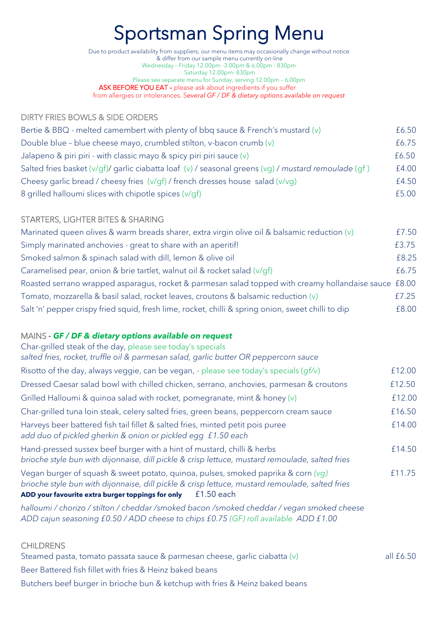# Sportsman Spring Menu

Due to product availability from suppliers, our menu items may occasionally change without notice & differ from our sample menu currently on-line Wednesday – Friday 12.00pm -3.00pm & 6.00pm - 830pm Saturday 12.00pm- 830pm Please see separate menu for Sunday, serving 12.00pm – 6.00pm ASK BEFORE YOU EAT – please ask about ingredients if you suffer from allergies or intolerances. S*everal GF / DF & dietary options available on request*

## DIRTY FRIES BOWLS & SIDE ORDERS

| Bertie & BBQ - melted camembert with plenty of bbq sauce & French's mustard $(v)$                    | £6.50 |
|------------------------------------------------------------------------------------------------------|-------|
| Double blue - blue cheese mayo, crumbled stilton, v-bacon crumb $(v)$                                | £6.75 |
| Jalapeno & piri piri - with classic mayo & spicy piri piri sauce $(v)$                               | £6.50 |
| Salted fries basket (v/qf)/ garlic ciabatta loaf (v) / seasonal greens (vg) / mustard remoulade (qf) | £4.00 |
| Cheesy garlic bread / cheesy fries (v/gf) / french dresses house salad (v/vg)                        | £4.50 |
| 8 grilled halloumi slices with chipotle spices (v/gf)                                                | £5.00 |

### STARTERS, LIGHTER BITES & SHARING

| Marinated queen olives & warm breads sharer, extra virgin olive oil & balsamic reduction (v)          | £7.50 |
|-------------------------------------------------------------------------------------------------------|-------|
| Simply marinated anchovies - great to share with an aperitif!                                         | £3.75 |
| Smoked salmon & spinach salad with dill, lemon & olive oil                                            | £8.25 |
| Caramelised pear, onion & brie tartlet, walnut oil & rocket salad (v/qf)                              | £6.75 |
| Roasted serrano wrapped asparagus, rocket & parmesan salad topped with creamy hollandaise sauce £8.00 |       |
| Tomato, mozzarella & basil salad, rocket leaves, croutons & balsamic reduction (v)                    | £7.25 |
| Salt 'n' pepper crispy fried squid, fresh lime, rocket, chilli & spring onion, sweet chilli to dip    | £8.00 |

#### MAINS *- GF / DF & dietary options available on request*

| Char-grilled steak of the day, please see today's specials<br>salted fries, rocket, truffle oil & parmesan salad, garlic butter OR peppercorn sauce                                                                                                       |        |
|-----------------------------------------------------------------------------------------------------------------------------------------------------------------------------------------------------------------------------------------------------------|--------|
| Risotto of the day, always veggie, can be vegan, - please see today's specials $(qf/v)$                                                                                                                                                                   | £12.00 |
| Dressed Caesar salad bowl with chilled chicken, serrano, anchovies, parmesan & croutons                                                                                                                                                                   | £12.50 |
| Grilled Halloumi & quinoa salad with rocket, pomegranate, mint & honey (v)                                                                                                                                                                                | £12.00 |
| Char-grilled tuna loin steak, celery salted fries, green beans, peppercorn cream sauce                                                                                                                                                                    | £16.50 |
| Harveys beer battered fish tail fillet & salted fries, minted petit pois puree<br>add duo of pickled gherkin & onion or pickled egg £1.50 each                                                                                                            | £14.00 |
| Hand-pressed sussex beef burger with a hint of mustard, chilli & herbs<br>brioche style bun with dijonnaise, dill pickle & crisp lettuce, mustard remoulade, salted fries                                                                                 | £14.50 |
| Vegan burger of squash & sweet potato, quinoa, pulses, smoked paprika & corn (vq)<br>brioche style bun with dijonnaise, dill pickle & crisp lettuce, mustard remoulade, salted fries<br>ADD your favourite extra burger toppings for only<br>$£1.50$ each | £11.75 |
| halloumi / chorizo / stilton / cheddar /smoked bacon /smoked cheddar / vegan smoked cheese<br>ADD cajun seasoning £0.50 / ADD cheese to chips £0.75 (GF) roll available ADD £1.00                                                                         |        |

#### **CHILDRENS**

Steamed pasta, tomato passata sauce & parmesan cheese, garlic ciabatta  $(v)$  all  $f6.50$ Beer Battered fish fillet with fries & Heinz baked beans Butchers beef burger in brioche bun & ketchup with fries & Heinz baked beans